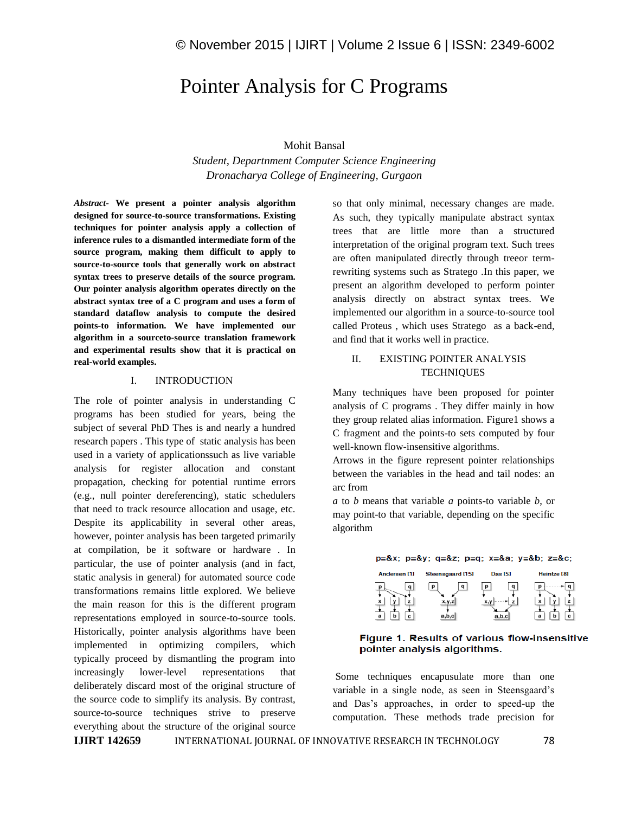# Pointer Analysis for C Programs

## Mohit Bansal

*Student, Departnment Computer Science Engineering Dronacharya College of Engineering, Gurgaon*

*Abstract-* **We present a pointer analysis algorithm designed for source-to-source transformations. Existing techniques for pointer analysis apply a collection of inference rules to a dismantled intermediate form of the source program, making them difficult to apply to source-to-source tools that generally work on abstract syntax trees to preserve details of the source program. Our pointer analysis algorithm operates directly on the abstract syntax tree of a C program and uses a form of standard dataflow analysis to compute the desired points-to information. We have implemented our algorithm in a sourceto-source translation framework and experimental results show that it is practical on real-world examples.**

## I. INTRODUCTION

The role of pointer analysis in understanding C programs has been studied for years, being the subject of several PhD Thes is and nearly a hundred research papers . This type of static analysis has been used in a variety of applicationssuch as live variable analysis for register allocation and constant propagation, checking for potential runtime errors (e.g., null pointer dereferencing), static schedulers that need to track resource allocation and usage, etc. Despite its applicability in several other areas, however, pointer analysis has been targeted primarily at compilation, be it software or hardware . In particular, the use of pointer analysis (and in fact, static analysis in general) for automated source code transformations remains little explored. We believe the main reason for this is the different program representations employed in source-to-source tools. Historically, pointer analysis algorithms have been implemented in optimizing compilers, which typically proceed by dismantling the program into increasingly lower-level representations that deliberately discard most of the original structure of the source code to simplify its analysis. By contrast, source-to-source techniques strive to preserve everything about the structure of the original source

so that only minimal, necessary changes are made. As such, they typically manipulate abstract syntax trees that are little more than a structured interpretation of the original program text. Such trees are often manipulated directly through treeor termrewriting systems such as Stratego .In this paper, we present an algorithm developed to perform pointer analysis directly on abstract syntax trees. We implemented our algorithm in a source-to-source tool called Proteus , which uses Stratego as a back-end, and find that it works well in practice.

# II. EXISTING POINTER ANALYSIS **TECHNIQUES**

Many techniques have been proposed for pointer analysis of C programs . They differ mainly in how they group related alias information. Figure1 shows a C fragment and the points-to sets computed by four well-known flow-insensitive algorithms.

Arrows in the figure represent pointer relationships between the variables in the head and tail nodes: an arc from

*a* to *b* means that variable *a* points-to variable *b*, or may point-to that variable, depending on the specific algorithm

#### $p=8x$ ;  $p=8y$ ;  $q=8z$ ;  $p=q$ ;  $x=8a$ ;  $y=8b$ ;  $z=8c$ ;

| Andersen [1] | <b>Steensgaard [15]</b>         | <b>Das [5]</b> | Heintze [8] |
|--------------|---------------------------------|----------------|-------------|
| ×<br>а<br>c  | $\alpha$<br>р<br>X.V.Z<br>a,b,c | $\alpha$<br>D  | x<br>ь<br>a |

## Figure 1. Results of various flow-insensitive pointer analysis algorithms.

Some techniques encapusulate more than one variable in a single node, as seen in Steensgaard's and Das's approaches, in order to speed-up the computation. These methods trade precision for

**IJIRT 142659** INTERNATIONAL JOURNAL OF INNOVATIVE RESEARCH IN TECHNOLOGY 78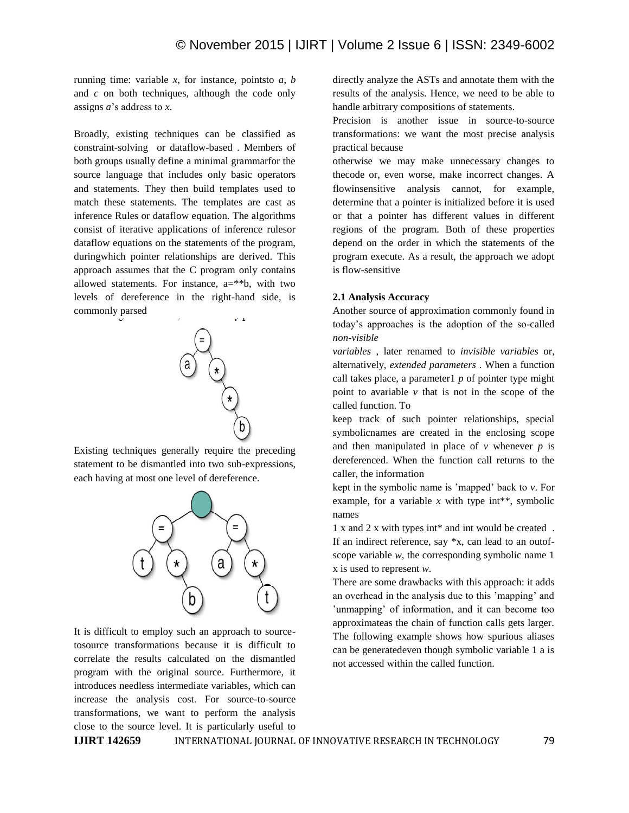running time: variable *x*, for instance, pointsto *a*, *b*  and *c* on both techniques, although the code only assigns *a*'s address to *x*.

Broadly, existing techniques can be classified as constraint-solving or dataflow-based . Members of both groups usually define a minimal grammarfor the source language that includes only basic operators and statements. They then build templates used to match these statements. The templates are cast as inference Rules or dataflow equation. The algorithms consist of iterative applications of inference rulesor dataflow equations on the statements of the program, duringwhich pointer relationships are derived. This approach assumes that the C program only contains allowed statements. For instance,  $a=**b$ , with two levels of dereference in the right-hand side, is commonly parsed



Existing techniques generally require the preceding statement to be dismantled into two sub-expressions, each having at most one level of dereference.



It is difficult to employ such an approach to sourcetosource transformations because it is difficult to correlate the results calculated on the dismantled program with the original source. Furthermore, it introduces needless intermediate variables, which can increase the analysis cost. For source-to-source transformations, we want to perform the analysis close to the source level. It is particularly useful to

directly analyze the ASTs and annotate them with the results of the analysis. Hence, we need to be able to handle arbitrary compositions of statements.

Precision is another issue in source-to-source transformations: we want the most precise analysis practical because

otherwise we may make unnecessary changes to thecode or, even worse, make incorrect changes. A flowinsensitive analysis cannot, for example, determine that a pointer is initialized before it is used or that a pointer has different values in different regions of the program. Both of these properties depend on the order in which the statements of the program execute. As a result, the approach we adopt is flow-sensitive

### **2.1 Analysis Accuracy**

Another source of approximation commonly found in today's approaches is the adoption of the so-called *non-visible*

*variables* , later renamed to *invisible variables* or, alternatively, *extended parameters* . When a function call takes place, a parameter1 *p* of pointer type might point to avariable *v* that is not in the scope of the called function. To

keep track of such pointer relationships, special symbolicnames are created in the enclosing scope and then manipulated in place of  $\nu$  whenever  $p$  is dereferenced. When the function call returns to the caller, the information

kept in the symbolic name is 'mapped' back to *v*. For example, for a variable  $x$  with type int<sup>\*\*</sup>, symbolic names

1 x and 2 x with types int\* and int would be created . If an indirect reference, say \*x, can lead to an outofscope variable *w*, the corresponding symbolic name 1 x is used to represent *w*.

There are some drawbacks with this approach: it adds an overhead in the analysis due to this 'mapping' and 'unmapping' of information, and it can become too approximateas the chain of function calls gets larger. The following example shows how spurious aliases can be generatedeven though symbolic variable 1 a is not accessed within the called function.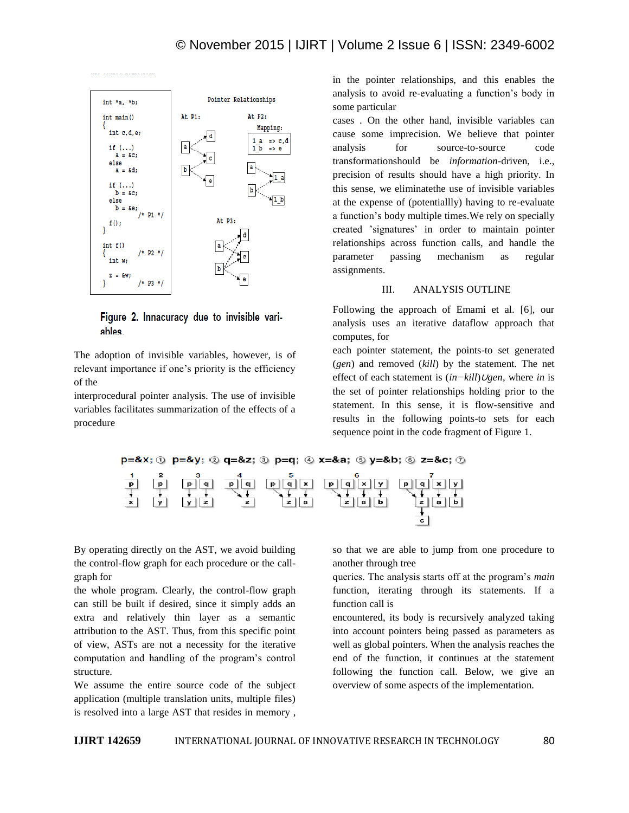

Figure 2. Innacuracy due to invisible variables.

The adoption of invisible variables, however, is of relevant importance if one's priority is the efficiency of the

interprocedural pointer analysis. The use of invisible variables facilitates summarization of the effects of a procedure

in the pointer relationships, and this enables the analysis to avoid re-evaluating a function's body in some particular

cases . On the other hand, invisible variables can cause some imprecision. We believe that pointer analysis for source-to-source code transformationshould be *information*-driven, i.e., precision of results should have a high priority. In this sense, we eliminatethe use of invisible variables at the expense of (potentiallly) having to re-evaluate a function's body multiple times.We rely on specially created 'signatures' in order to maintain pointer relationships across function calls, and handle the parameter passing mechanism as regular assignments.

## III. ANALYSIS OUTLINE

Following the approach of Emami et al. [6], our analysis uses an iterative dataflow approach that computes, for

each pointer statement, the points-to set generated (*gen*) and removed (*kill*) by the statement. The net effect of each statement is (*in−kill*)∪*gen*, where *in* is the set of pointer relationships holding prior to the statement. In this sense, it is flow-sensitive and results in the following points-to sets for each sequence point in the code fragment of Figure 1.



By operating directly on the AST, we avoid building the control-flow graph for each procedure or the callgraph for

the whole program. Clearly, the control-flow graph can still be built if desired, since it simply adds an extra and relatively thin layer as a semantic attribution to the AST. Thus, from this specific point of view, ASTs are not a necessity for the iterative computation and handling of the program's control structure.

We assume the entire source code of the subject application (multiple translation units, multiple files) is resolved into a large AST that resides in memory , so that we are able to jump from one procedure to another through tree

queries. The analysis starts off at the program's *main*  function, iterating through its statements. If a function call is

encountered, its body is recursively analyzed taking into account pointers being passed as parameters as well as global pointers. When the analysis reaches the end of the function, it continues at the statement following the function call. Below, we give an overview of some aspects of the implementation.